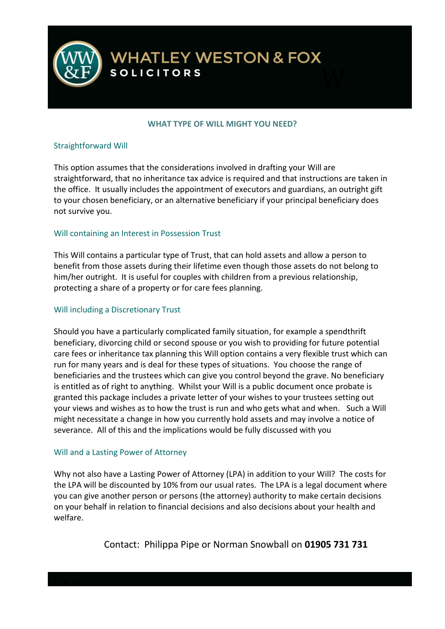

### **WHAT TYPE OF WILL MIGHT YOU NEED?**

## Straightforward Will

This option assumes that the considerations involved in drafting your Will are straightforward, that no inheritance tax advice is required and that instructions are taken in the office. It usually includes the appointment of executors and guardians, an outright gift to your chosen beneficiary, or an alternative beneficiary if your principal beneficiary does not survive you.

# Will containing an Interest in Possession Trust

This Will contains a particular type of Trust, that can hold assets and allow a person to benefit from those assets during their lifetime even though those assets do not belong to him/her outright. It is useful for couples with children from a previous relationship, protecting a share of a property or for care fees planning.

## Will including a Discretionary Trust

Should you have a particularly complicated family situation, for example a spendthrift beneficiary, divorcing child or second spouse or you wish to providing for future potential care fees or inheritance tax planning this Will option contains a very flexible trust which can run for many years and is deal for these types of situations. You choose the range of beneficiaries and the trustees which can give you control beyond the grave. No beneficiary is entitled as of right to anything. Whilst your Will is a public document once probate is granted this package includes a private letter of your wishes to your trustees setting out your views and wishes as to how the trust is run and who gets what and when. Such a Will might necessitate a change in how you currently hold assets and may involve a notice of severance. All of this and the implications would be fully discussed with you

#### Will and a Lasting Power of Attorney

W

Why not also have a Lasting Power of Attorney (LPA) in addition to your Will? The costs for the LPA will be discounted by 10% from our usual rates. The LPA is a legal document where you can give another person or persons (the attorney) authority to make certain decisions on your behalf in relation to financial decisions and also decisions about your health and welfare.

Contact: Philippa Pipe or Norman Snowball on **01905 731 731**